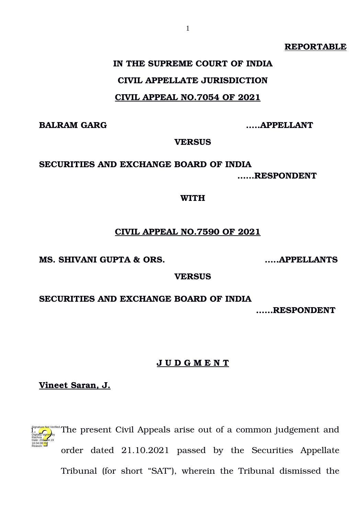#### **REPORTABLE**

## **IN THE SUPREME COURT OF INDIA CIVIL APPELLATE JURISDICTION CIVIL APPEAL NO.7054 OF 2021**

**BALRAM GARG …..APPELLANT**

**VERSUS**

## **SECURITIES AND EXCHANGE BOARD OF INDIA ……RESPONDENT**

#### **WITH**

## **CIVIL APPEAL NO.7590 OF 2021**

**MS. SHIVANI GUPTA & ORS. …..APPELLANTS**

**VERSUS**

**SECURITIES AND EXCHANGE BOARD OF INDIA** 

**……RESPONDENT**

## **J U D G M E N T**

**Vineet Saran, J.**



The present Civil Appeals arise out of a common judgement and order dated 21.10.2021 passed by the Securities Appellate Tribunal (for short "SAT"), wherein the Tribunal dismissed the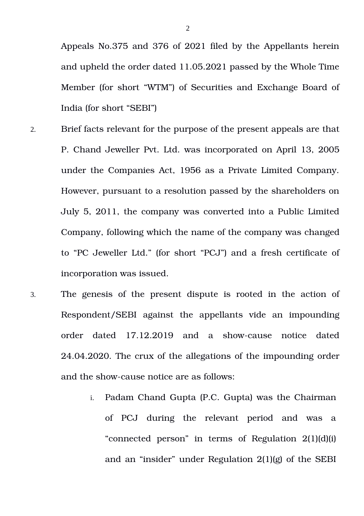Appeals No.375 and 376 of 2021 filed by the Appellants herein and upheld the order dated 11.05.2021 passed by the Whole Time Member (for short "WTM") of Securities and Exchange Board of India (for short "SEBI")

- 2. Brief facts relevant for the purpose of the present appeals are that P. Chand Jeweller Pvt. Ltd. was incorporated on April 13, 2005 under the Companies Act, 1956 as a Private Limited Company. However, pursuant to a resolution passed by the shareholders on July 5, 2011, the company was converted into a Public Limited Company, following which the name of the company was changed to "PC Jeweller Ltd." (for short "PCJ") and a fresh certificate of incorporation was issued.
- 3. The genesis of the present dispute is rooted in the action of Respondent/SEBI against the appellants vide an impounding order dated 17.12.2019 and a showcause notice dated 24.04.2020. The crux of the allegations of the impounding order and the show-cause notice are as follows:
	- i. Padam Chand Gupta (P.C. Gupta) was the Chairman of PCJ during the relevant period and was a "connected person" in terms of Regulation 2(1)(d)(i) and an "insider" under Regulation 2(1)(g) of the SEBI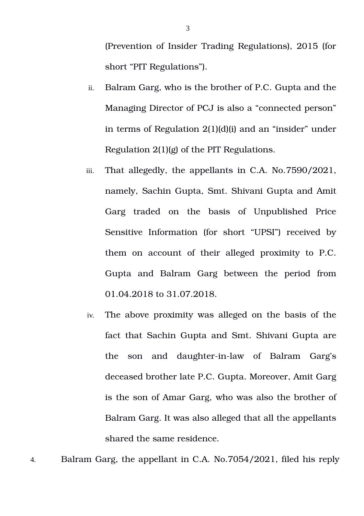(Prevention of Insider Trading Regulations), 2015 (for short "PIT Regulations").

- ii. Balram Garg, who is the brother of P.C. Gupta and the Managing Director of PCJ is also a "connected person" in terms of Regulation 2(1)(d)(i) and an "insider" under Regulation 2(1)(g) of the PIT Regulations.
- iii. That allegedly, the appellants in C.A. No.7590/2021, namely, Sachin Gupta, Smt. Shivani Gupta and Amit Garg traded on the basis of Unpublished Price Sensitive Information (for short "UPSI") received by them on account of their alleged proximity to P.C. Gupta and Balram Garg between the period from 01.04.2018 to 31.07.2018.
- iv. The above proximity was alleged on the basis of the fact that Sachin Gupta and Smt. Shivani Gupta are the son and daughter-in-law of Balram Garg's deceased brother late P.C. Gupta. Moreover, Amit Garg is the son of Amar Garg, who was also the brother of Balram Garg. It was also alleged that all the appellants shared the same residence.

4. Balram Garg, the appellant in C.A. No.7054/2021, filed his reply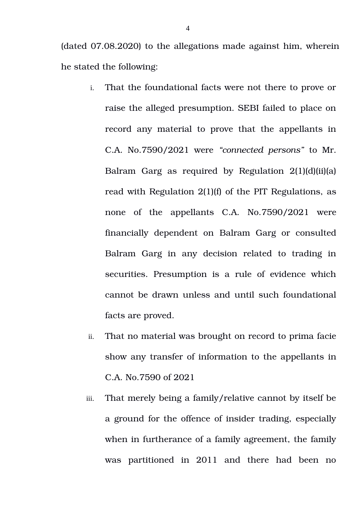(dated 07.08.2020) to the allegations made against him, wherein he stated the following:

- i. That the foundational facts were not there to prove or raise the alleged presumption. SEBI failed to place on record any material to prove that the appellants in C.A. No.7590/2021 were *"connected persons"* to Mr. Balram Garg as required by Regulation  $2(1)(d)(ii)(a)$ read with Regulation 2(1)(f) of the PIT Regulations, as none of the appellants C.A. No.7590/2021 were financially dependent on Balram Garg or consulted Balram Garg in any decision related to trading in securities. Presumption is a rule of evidence which cannot be drawn unless and until such foundational facts are proved.
- ii. That no material was brought on record to prima facie show any transfer of information to the appellants in C.A. No.7590 of 2021
- iii. That merely being a family/relative cannot by itself be a ground for the offence of insider trading, especially when in furtherance of a family agreement, the family was partitioned in 2011 and there had been no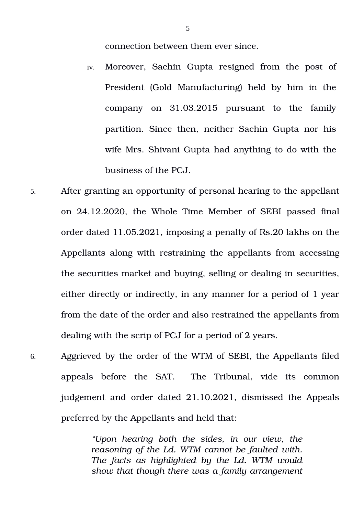connection between them ever since.

- iv. Moreover, Sachin Gupta resigned from the post of President (Gold Manufacturing) held by him in the company on 31.03.2015 pursuant to the family partition. Since then, neither Sachin Gupta nor his wife Mrs. Shivani Gupta had anything to do with the business of the PCJ.
- 5. After granting an opportunity of personal hearing to the appellant on 24.12.2020, the Whole Time Member of SEBI passed final order dated 11.05.2021, imposing a penalty of Rs.20 lakhs on the Appellants along with restraining the appellants from accessing the securities market and buying, selling or dealing in securities, either directly or indirectly, in any manner for a period of 1 year from the date of the order and also restrained the appellants from dealing with the scrip of PCJ for a period of 2 years.
- 6. Aggrieved by the order of the WTM of SEBI, the Appellants filed appeals before the SAT. The Tribunal, vide its common judgement and order dated 21.10.2021, dismissed the Appeals preferred by the Appellants and held that:

*"Upon hearing both the sides, in our view, the reasoning of the Ld. WTM cannot be faulted with. The facts as highlighted by the Ld. WTM would show that though there was a family arrangement*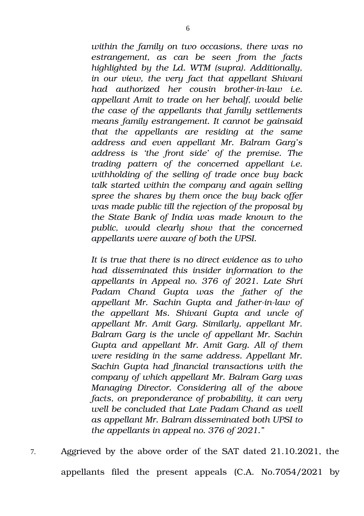*within the family on two occasions, there was no estrangement, as can be seen from the facts highlighted by the Ld. WTM (supra). Additionally, in our view, the very fact that appellant Shivani* had authorized her cousin brother-in-law i.e. *appellant Amit to trade on her behalf, would belie the case of the appellants that family settlements means family estrangement. It cannot be gainsaid that the appellants are residing at the same address and even appellant Mr. Balram Garg's address is 'the front side' of the premise. The trading pattern of the concerned appellant i.e. withholding of the selling of trade once buy back talk started within the company and again selling spree the shares by them once the buy back offer was made public till the rejection of the proposal by the State Bank of India was made known to the public, would clearly show that the concerned appellants were aware of both the UPSI.*

*It is true that there is no direct evidence as to who had disseminated this insider information to the appellants in Appeal no. 376 of 2021. Late Shri Padam Chand Gupta was the father of the appellant Mr. Sachin Gupta and fatherinlaw of the appellant Ms. Shivani Gupta and uncle of appellant Mr. Amit Garg. Similarly, appellant Mr. Balram Garg is the uncle of appellant Mr. Sachin Gupta and appellant Mr. Amit Garg. All of them were residing in the same address. Appellant Mr. Sachin Gupta had financial transactions with the company of which appellant Mr. Balram Garg was Managing Director. Considering all of the above facts, on preponderance of probability, it can very well be concluded that Late Padam Chand as well as appellant Mr. Balram disseminated both UPSI to the appellants in appeal no. 376 of 2021."*

7. Aggrieved by the above order of the SAT dated 21.10.2021, the appellants filed the present appeals  $(C.A. No.7054/2021$  by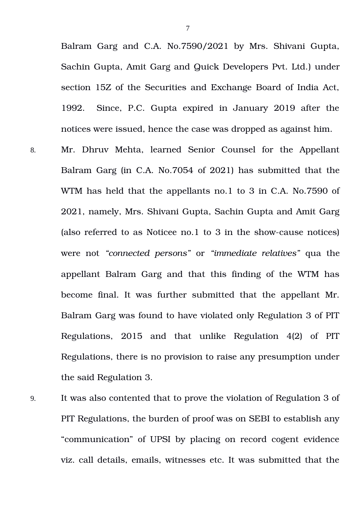Balram Garg and C.A. No.7590/2021 by Mrs. Shivani Gupta, Sachin Gupta, Amit Garg and Quick Developers Pvt. Ltd.) under section 15Z of the Securities and Exchange Board of India Act, 1992. Since, P.C. Gupta expired in January 2019 after the notices were issued, hence the case was dropped as against him.

- 8. Mr. Dhruv Mehta, learned Senior Counsel for the Appellant Balram Garg (in C.A. No.7054 of 2021) has submitted that the WTM has held that the appellants no.1 to 3 in C.A. No.7590 of 2021, namely, Mrs. Shivani Gupta, Sachin Gupta and Amit Garg (also referred to as Noticee no.1 to 3 in the showcause notices) were not *"connected persons"* or *"immediate relatives"* qua the appellant Balram Garg and that this finding of the WTM has become final. It was further submitted that the appellant Mr. Balram Garg was found to have violated only Regulation 3 of PIT Regulations, 2015 and that unlike Regulation 4(2) of PIT Regulations, there is no provision to raise any presumption under the said Regulation 3.
- 9. It was also contented that to prove the violation of Regulation 3 of PIT Regulations, the burden of proof was on SEBI to establish any "communication" of UPSI by placing on record cogent evidence viz. call details, emails, witnesses etc. It was submitted that the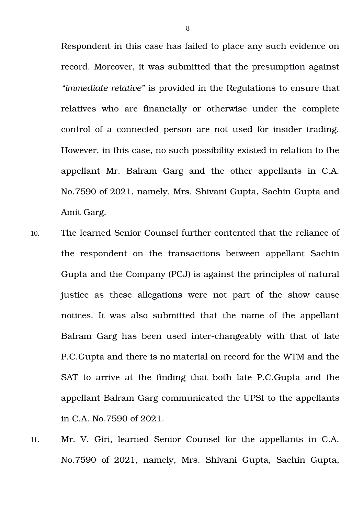Respondent in this case has failed to place any such evidence on record. Moreover, it was submitted that the presumption against *"immediate relative"* is provided in the Regulations to ensure that relatives who are financially or otherwise under the complete control of a connected person are not used for insider trading. However, in this case, no such possibility existed in relation to the appellant Mr. Balram Garg and the other appellants in C.A. No.7590 of 2021, namely, Mrs. Shivani Gupta, Sachin Gupta and Amit Garg.

- 10. The learned Senior Counsel further contented that the reliance of the respondent on the transactions between appellant Sachin Gupta and the Company (PCJ) is against the principles of natural justice as these allegations were not part of the show cause notices. It was also submitted that the name of the appellant Balram Garg has been used inter-changeably with that of late P.C.Gupta and there is no material on record for the WTM and the SAT to arrive at the finding that both late P.C.Gupta and the appellant Balram Garg communicated the UPSI to the appellants in C.A. No.7590 of 2021.
- 11. Mr. V. Giri, learned Senior Counsel for the appellants in C.A. No.7590 of 2021, namely, Mrs. Shivani Gupta, Sachin Gupta,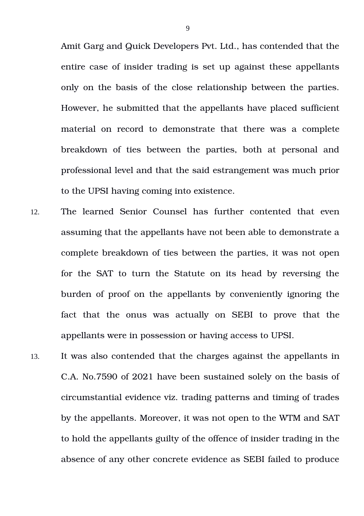Amit Garg and Quick Developers Pvt. Ltd., has contended that the entire case of insider trading is set up against these appellants only on the basis of the close relationship between the parties. However, he submitted that the appellants have placed sufficient material on record to demonstrate that there was a complete breakdown of ties between the parties, both at personal and professional level and that the said estrangement was much prior to the UPSI having coming into existence.

- 12. The learned Senior Counsel has further contented that even assuming that the appellants have not been able to demonstrate a complete breakdown of ties between the parties, it was not open for the SAT to turn the Statute on its head by reversing the burden of proof on the appellants by conveniently ignoring the fact that the onus was actually on SEBI to prove that the appellants were in possession or having access to UPSI.
- 13. It was also contended that the charges against the appellants in C.A. No.7590 of 2021 have been sustained solely on the basis of circumstantial evidence viz. trading patterns and timing of trades by the appellants. Moreover, it was not open to the WTM and SAT to hold the appellants guilty of the offence of insider trading in the absence of any other concrete evidence as SEBI failed to produce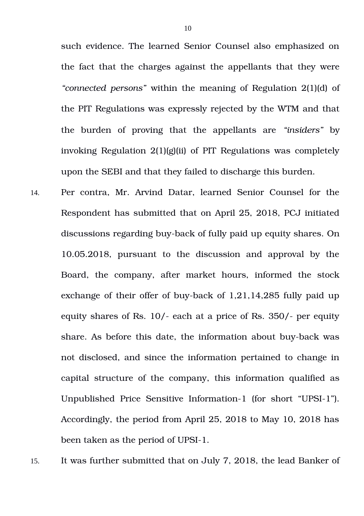such evidence. The learned Senior Counsel also emphasized on the fact that the charges against the appellants that they were *"connected persons"* within the meaning of Regulation 2(1)(d) of the PIT Regulations was expressly rejected by the WTM and that the burden of proving that the appellants are "*insiders*" by invoking Regulation 2(1)(g)(ii) of PIT Regulations was completely upon the SEBI and that they failed to discharge this burden.

14. Per contra, Mr. Arvind Datar, learned Senior Counsel for the Respondent has submitted that on April 25, 2018, PCJ initiated discussions regarding buy-back of fully paid up equity shares. On 10.05.2018, pursuant to the discussion and approval by the Board, the company, after market hours, informed the stock exchange of their offer of buy-back of  $1,21,14,285$  fully paid up equity shares of Rs.  $10/-$  each at a price of Rs.  $350/-$  per equity share. As before this date, the information about buy-back was not disclosed, and since the information pertained to change in capital structure of the company, this information qualified as Unpublished Price Sensitive Information-1 (for short "UPSI-1"). Accordingly, the period from April 25, 2018 to May 10, 2018 has been taken as the period of UPSI-1.

15. It was further submitted that on July 7, 2018, the lead Banker of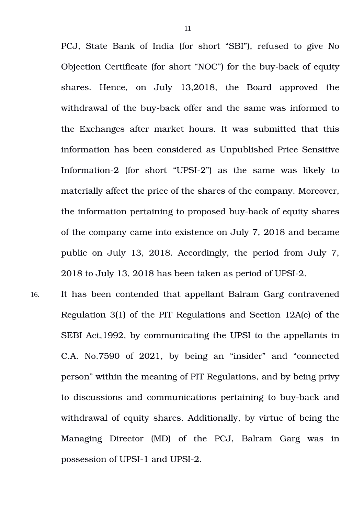PCJ, State Bank of India (for short "SBI"), refused to give No Objection Certificate (for short "NOC") for the buy-back of equity shares. Hence, on July 13,2018, the Board approved the withdrawal of the buy-back offer and the same was informed to the Exchanges after market hours. It was submitted that this information has been considered as Unpublished Price Sensitive Information-2 (for short "UPSI-2") as the same was likely to materially affect the price of the shares of the company. Moreover, the information pertaining to proposed buy-back of equity shares of the company came into existence on July 7, 2018 and became public on July 13, 2018. Accordingly, the period from July 7, 2018 to July 13, 2018 has been taken as period of UPSI-2.

16. It has been contended that appellant Balram Garg contravened Regulation 3(1) of the PIT Regulations and Section 12A(c) of the SEBI Act,1992, by communicating the UPSI to the appellants in C.A. No.7590 of 2021, by being an "insider" and "connected person" within the meaning of PIT Regulations, and by being privy to discussions and communications pertaining to buy-back and withdrawal of equity shares. Additionally, by virtue of being the Managing Director (MD) of the PCJ, Balram Garg was in possession of UPSI-1 and UPSI-2.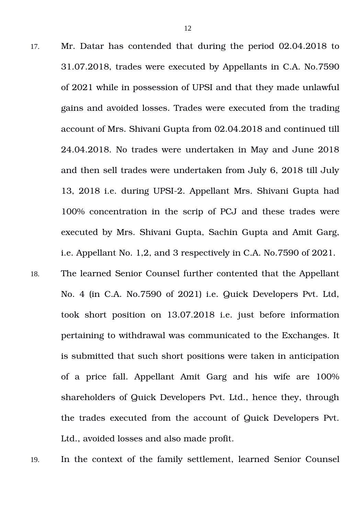- 17. Mr. Datar has contended that during the period 02.04.2018 to 31.07.2018, trades were executed by Appellants in C.A. No.7590 of 2021 while in possession of UPSI and that they made unlawful gains and avoided losses. Trades were executed from the trading account of Mrs. Shivani Gupta from 02.04.2018 and continued till 24.04.2018. No trades were undertaken in May and June 2018 and then sell trades were undertaken from July 6, 2018 till July 13, 2018 i.e. during UPSI-2. Appellant Mrs. Shivani Gupta had 100% concentration in the scrip of PCJ and these trades were executed by Mrs. Shivani Gupta, Sachin Gupta and Amit Garg, i.e. Appellant No. 1,2, and 3 respectively in C.A. No.7590 of 2021.
- 18. The learned Senior Counsel further contented that the Appellant No. 4 (in C.A. No.7590 of 2021) i.e. Quick Developers Pvt. Ltd, took short position on 13.07.2018 i.e. just before information pertaining to withdrawal was communicated to the Exchanges. It is submitted that such short positions were taken in anticipation of a price fall. Appellant Amit Garg and his wife are 100% shareholders of Quick Developers Pvt. Ltd., hence they, through the trades executed from the account of Quick Developers Pvt. Ltd., avoided losses and also made profit.

19. In the context of the family settlement, learned Senior Counsel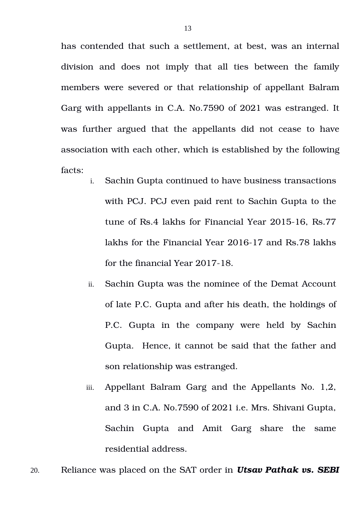has contended that such a settlement, at best, was an internal division and does not imply that all ties between the family members were severed or that relationship of appellant Balram Garg with appellants in C.A. No.7590 of 2021 was estranged. It was further argued that the appellants did not cease to have association with each other, which is established by the following facts:

- i. Sachin Gupta continued to have business transactions with PCJ. PCJ even paid rent to Sachin Gupta to the tune of Rs.4 lakhs for Financial Year 2015-16, Rs.77 lakhs for the Financial Year 2016-17 and Rs.78 lakhs for the financial Year  $2017-18$ .
- ii. Sachin Gupta was the nominee of the Demat Account of late P.C. Gupta and after his death, the holdings of P.C. Gupta in the company were held by Sachin Gupta. Hence, it cannot be said that the father and son relationship was estranged.
- iii. Appellant Balram Garg and the Appellants No. 1,2, and 3 in C.A. No.7590 of 2021 i.e. Mrs. Shivani Gupta, Sachin Gupta and Amit Garg share the same residential address.
- 20. Reliance was placed on the SAT order in *Utsav Pathak vs. SEBI*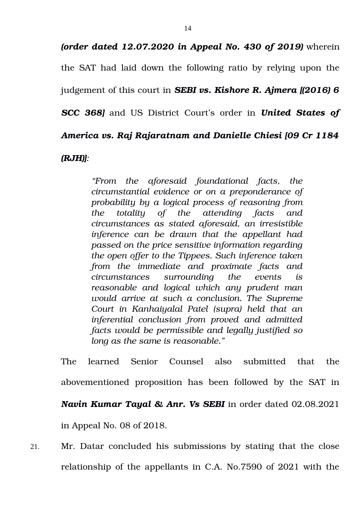*(order dated 12.07.2020 in Appeal No. 430 of 2019)* wherein the SAT had laid down the following ratio by relying upon the judgement of this court in *SEBI vs. Kishore R. Ajmera [(2016) 6 SCC 368]* and US District Court's order in *United States of America vs. Raj Rajaratnam and Danielle Chiesi [09 Cr 1184*

*(RJH)]:*

*"From the aforesaid foundational facts, the circumstantial evidence or on a preponderance of probability by a logical process of reasoning from the totality of the attending facts and circumstances as stated aforesaid, an irresistible inference can be drawn that the appellant had passed on the price sensitive information regarding the open offer to the Tippees. Such inference taken from the immediate and proximate facts and circumstances surrounding the events is reasonable and logical which any prudent man would arrive at such a conclusion. The Supreme Court in Kanhaiyalal Patel (supra) held that an inferential conclusion from proved and admitted facts would be permissible and legally justified so long as the same is reasonable."*

The learned Senior Counsel also submitted that the abovementioned proposition has been followed by the SAT in *Navin Kumar Tayal & Anr. Vs SEBI* in order dated 02.08.2021 in Appeal No. 08 of 2018.

21. Mr. Datar concluded his submissions by stating that the close relationship of the appellants in C.A. No.7590 of 2021 with the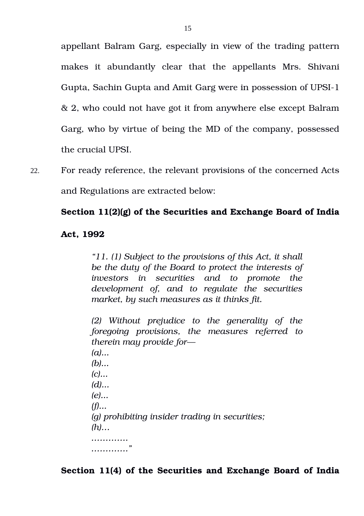appellant Balram Garg, especially in view of the trading pattern makes it abundantly clear that the appellants Mrs. Shivani Gupta, Sachin Gupta and Amit Garg were in possession of UPSI-1 & 2, who could not have got it from anywhere else except Balram Garg, who by virtue of being the MD of the company, possessed the crucial UPSI.

22. For ready reference, the relevant provisions of the concerned Acts and Regulations are extracted below:

## **Section 11(2)(g) of the Securities and Exchange Board of India**

#### **Act, 1992**

*"11. (1) Subject to the provisions of this Act, it shall be the duty of the Board to protect the interests of investors in securities and to promote the development of, and to regulate the securities market, by such measures as it thinks fit.*

*(2) Without prejudice to the generality of the foregoing provisions, the measures referred to therein may provide for— (a)... (b)... (c)... (d)... (e)... (f)... (g) prohibiting insider trading in securities; (h)… …………. …………."*

**Section 11(4) of the Securities and Exchange Board of India**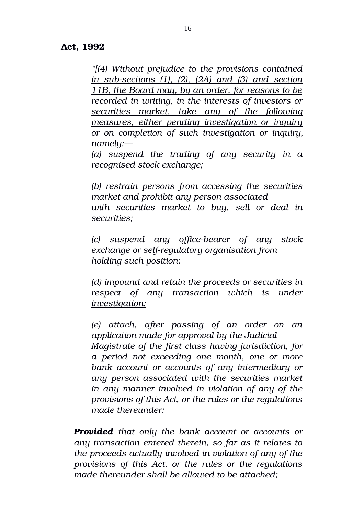## **Act, 1992**

*"[(4) Without prejudice to the provisions contained in subsections (1), (2), (2A) and (3) and section 11B, the Board may, by an order, for reasons to be recorded in writing, in the interests of investors or securities market, take any of the following measures, either pending investigation or inquiry or on completion of such investigation or inquiry, namely:—*

*(a) suspend the trading of any security in a recognised stock exchange;*

*(b) restrain persons from accessing the securities market and prohibit any person associated with securities market to buy, sell or deal in securities;*

*(c) suspend any officebearer of any stock exchange or self-regulatory organisation from holding such position;*

*(d) impound and retain the proceeds or securities in respect of any transaction which is under investigation;*

*(e) attach, after passing of an order on an application made for approval by the Judicial Magistrate of the first class having jurisdiction, for a period not exceeding one month, one or more bank account or accounts of any intermediary or any person associated with the securities market in any manner involved in violation of any of the provisions of this Act, or the rules or the regulations made thereunder:*

*Provided that only the bank account or accounts or any transaction entered therein, so far as it relates to the proceeds actually involved in violation of any of the provisions of this Act, or the rules or the regulations made thereunder shall be allowed to be attached;*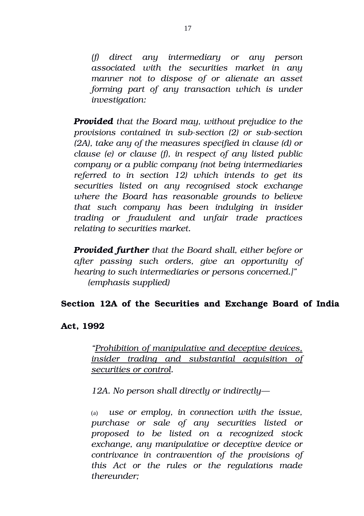*(f) direct any intermediary or any person associated with the securities market in any manner not to dispose of or alienate an asset forming part of any transaction which is under investigation:*

*Provided that the Board may, without prejudice to the provisions contained in subsection (2) or subsection (2A), take any of the measures specified in clause (d) or clause (e) or clause (f), in respect of any listed public company or a public company (not being intermediaries referred to in section 12) which intends to get its securities listed on any recognised stock exchange where the Board has reasonable grounds to believe that such company has been indulging in insider trading or fraudulent and unfair trade practices relating to securities market.*

*Provided further that the Board shall, either before or after passing such orders, give an opportunity of hearing to such intermediaries or persons concerned.]" (emphasis supplied)*

## **Section 12A of the Securities and Exchange Board of India**

## **Act, 1992**

*"Prohibition of manipulative and deceptive devices, insider trading and substantial acquisition of securities or control.*

*12A. No person shall directly or indirectly—*

(a)  *use or employ, in connection with the issue, purchase or sale of any securities listed or proposed to be listed on a recognized stock exchange, any manipulative or deceptive device or contrivance in contravention of the provisions of this Act or the rules or the regulations made thereunder;*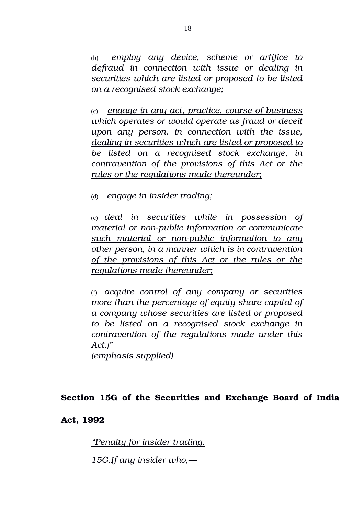(b)  *employ any device, scheme or artifice to defraud in connection with issue or dealing in securities which are listed or proposed to be listed on a recognised stock exchange;*

(c) *engage in any act, practice, course of business which operates or would operate as fraud or deceit upon any person, in connection with the issue, dealing in securities which are listed or proposed to be listed on a recognised stock exchange, in contravention of the provisions of this Act or the rules or the regulations made thereunder;*

(d)  *engage in insider trading;*

(e) *deal in securities while in possession of material or non-public information or communicate* such material or non-public information to any *other person, in a manner which is in contravention of the provisions of this Act or the rules or the regulations made thereunder;*

(f) *acquire control of any company or securities more than the percentage of equity share capital of a company whose securities are listed or proposed to be listed on a recognised stock exchange in contravention of the regulations made under this Act.]"*

*(emphasis supplied)*

## **Section 15G of the Securities and Exchange Board of India**

## **Act, 1992**

*"Penalty for insider trading.*

*15G.If any insider who,—*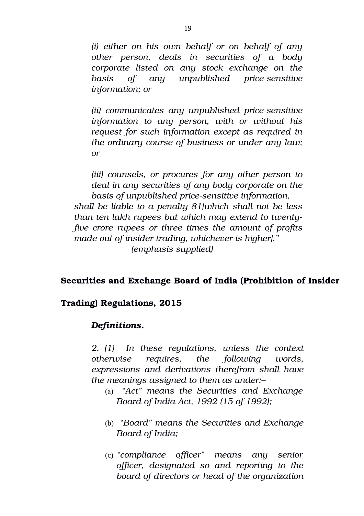*(i) either on his own behalf or on behalf of any other person, deals in securities of a body corporate listed on any stock exchange on the basis* of any unpublished price-sensitive *information; or*

*(ii)* communicates any unpublished price-sensitive *information to any person, with or without his request for such information except as required in the ordinary course of business or under any law; or*

*(iii) counsels, or procures for any other person to deal in any securities of any body corporate on the basis of unpublished price-sensitive information, shall be liable to a penalty 81[which shall not be less than ten lakh rupees but which may extend to twentyfive crore rupees or three times the amount of profits made out of insider trading, whichever is higher]." (emphasis supplied)*

## **Securities and Exchange Board of India (Prohibition of Insider**

#### **Trading) Regulations, 2015**

#### *Definitions.*

*2. (1) In these regulations, unless the context otherwise requires, the following words, expressions and derivations therefrom shall have the meanings assigned to them as under:–*

- (a)  *"Act" means the Securities and Exchange Board of India Act, 1992 (15 of 1992);*
- (b)  *"Board" means the Securities and Exchange Board of India;*
- (c) *"compliance officer" means any senior officer, designated so and reporting to the board of directors or head of the organization*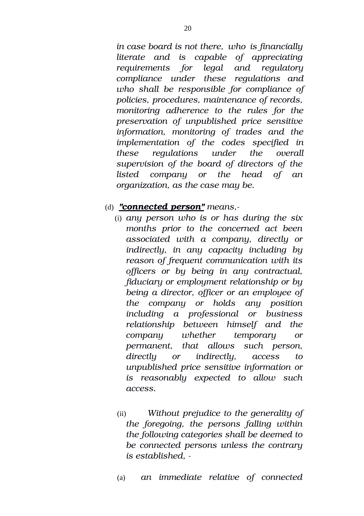*in case board is not there, who is financially literate and is capable of appreciating requirements for legal and regulatory compliance under these regulations and who shall be responsible for compliance of policies, procedures, maintenance of records, monitoring adherence to the rules for the preservation of unpublished price sensitive information, monitoring of trades and the implementation of the codes specified in these regulations under the overall supervision of the board of directors of the listed company or the head of an organization, as the case may be.*

## (d) *"connected person" means,*

- (i) *any person who is or has during the six months prior to the concerned act been associated with a company, directly or indirectly, in any capacity including by reason of frequent communication with its officers or by being in any contractual, fiduciary or employment relationship or by being a director, officer or an employee of the company or holds any position including a professional or business relationship between himself and the company whether temporary or permanent, that allows such person, directly or indirectly, access to unpublished price sensitive information or is reasonably expected to allow such access.*
- (ii) *Without prejudice to the generality of the foregoing, the persons falling within the following categories shall be deemed to be connected persons unless the contrary is established,*
- (a) *an immediate relative of connected*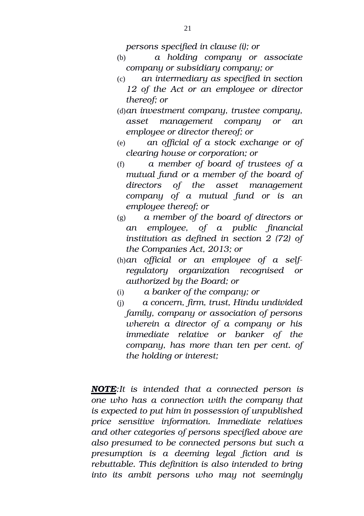*persons specified in clause (i); or*

- (b) *a holding company or associate company or subsidiary company; or*
- (c) *an intermediary as specified in section 12 of the Act or an employee or director thereof; or*
- (d)*an investment company, trustee company, asset management company or an employee or director thereof; or*
- (e) *an official of a stock exchange or of clearing house or corporation; or*
- (f)  *a member of board of trustees of a mutual fund or a member of the board of directors of the asset management company of a mutual fund or is an employee thereof; or*
- (g) *a member of the board of directors or an employee, of a public financial institution as defined in section 2 (72) of the Companies Act, 2013; or*
- (h)*an official or an employee of a selfregulatory organization recognised or authorized by the Board; or*
- (i)  *a banker of the company; or*
- (j)  *a concern, firm, trust, Hindu undivided family, company or association of persons wherein a director of a company or his immediate relative or banker of the company, has more than ten per cent. of the holding or interest;*

*NOTE:It is intended that a connected person is one who has a connection with the company that is expected to put him in possession of unpublished price sensitive information. Immediate relatives and other categories of persons specified above are also presumed to be connected persons but such a presumption is a deeming legal fiction and is rebuttable. This definition is also intended to bring into its ambit persons who may not seemingly*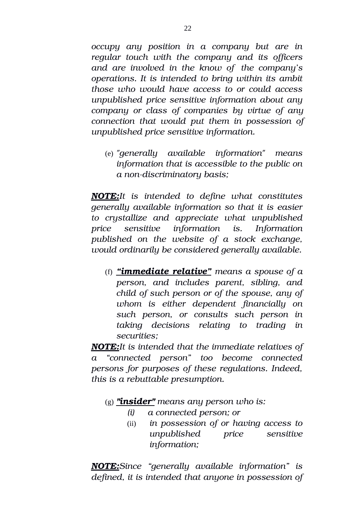*occupy any position in a company but are in regular touch with the company and its officers and are involved in the know of the company's operations. It is intended to bring within its ambit those who would have access to or could access unpublished price sensitive information about any company or class of companies by virtue of any connection that would put them in possession of unpublished price sensitive information.*

(e) *"generally available information" means information that is accessible to the public on*  $a$  non-discriminatory basis;

*NOTE:It is intended to define what constitutes generally available information so that it is easier to crystallize and appreciate what unpublished price sensitive information is. Information published on the website of a stock exchange, would ordinarily be considered generally available.*

(f) *"immediate relative" means a spouse of a person, and includes parent, sibling, and child of such person or of the spouse, any of whom is either dependent financially on such person, or consults such person in taking decisions relating to trading in securities;*

*NOTE:It is intended that the immediate relatives of a "connected person" too become connected persons for purposes of these regulations. Indeed, this is a rebuttable presumption.*

(g) *"insider" means any person who is:*

- *(i) a connected person; or*
- (ii) *in possession of or having access to unpublished price sensitive information;*

*NOTE:Since "generally available information" is defined, it is intended that anyone in possession of*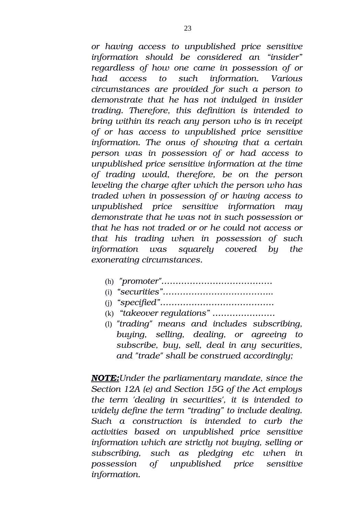*or having access to unpublished price sensitive information should be considered an "insider" regardless of how one came in possession of or had access to such information. Various circumstances are provided for such a person to demonstrate that he has not indulged in insider trading. Therefore, this definition is intended to bring within its reach any person who is in receipt of or has access to unpublished price sensitive information. The onus of showing that a certain person was in possession of or had access to unpublished price sensitive information at the time of trading would, therefore, be on the person leveling the charge after which the person who has traded when in possession of or having access to unpublished price sensitive information may demonstrate that he was not in such possession or that he has not traded or or he could not access or that his trading when in possession of such information was squarely covered by the exonerating circumstances.*

- (h)  *"promoter"…………………………………*
- (i) *"securities"………………………………...*
- (j) *"specified"………………………………….*
- (k)  *"takeover regulations" ………………….*
- (l) *"trading" means and includes subscribing, buying, selling, dealing, or agreeing to subscribe, buy, sell, deal in any securities, and "trade" shall be construed accordingly;*

 *NOTE:Under the parliamentary mandate, since the Section 12A (e) and Section 15G of the Act employs the term 'dealing in securities', it is intended to widely define the term "trading" to include dealing. Such a construction is intended to curb the activities based on unpublished price sensitive information which are strictly not buying, selling or subscribing, such as pledging etc when in possession of unpublished price sensitive information.*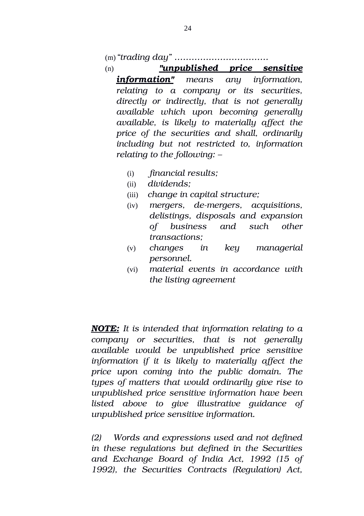#### (m)*"trading day" ……………………………*

- (n)  *"unpublished price sensitive information" means any information, relating to a company or its securities, directly or indirectly, that is not generally available which upon becoming generally available, is likely to materially affect the price of the securities and shall, ordinarily including but not restricted to, information relating to the following: –*
	- (i) *financial results;*
	- (ii) *dividends;*
	- (iii) *change in capital structure;*
	- (iv) *mergers, demergers, acquisitions, delistings, disposals and expansion of business and such other transactions;*
	- (v) *changes in key managerial personnel.*
	- (vi) *material events in accordance with the listing agreement*

 *NOTE:It is intended that information relating to a company or securities, that is not generally available would be unpublished price sensitive information if it is likely to materially affect the price upon coming into the public domain. The types of matters that would ordinarily give rise to unpublished price sensitive information have been listed above to give illustrative guidance of unpublished price sensitive information.*

*(2) Words and expressions used and not defined in these regulations but defined in the Securities and Exchange Board of India Act, 1992 (15 of 1992), the Securities Contracts (Regulation) Act,*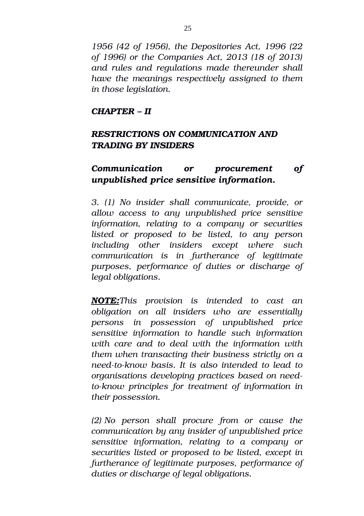*1956 (42 of 1956), the Depositories Act, 1996 (22 of 1996) or the Companies Act, 2013 (18 of 2013) and rules and regulations made thereunder shall have the meanings respectively assigned to them in those legislation.*

#### *CHAPTER – II*

## *RESTRICTIONS ON COMMUNICATION AND TRADING BY INSIDERS*

## *Communication or procurement of unpublished price sensitive information.*

*3. (1) No insider shall communicate, provide, or allow access to any unpublished price sensitive information, relating to a company or securities listed or proposed to be listed, to any person including other insiders except where such communication is in furtherance of legitimate purposes, performance of duties or discharge of legal obligations.*

*NOTE:This provision is intended to cast an obligation on all insiders who are essentially persons in possession of unpublished price sensitive information to handle such information with care and to deal with the information with them when transacting their business strictly on a needtoknow basis. It is also intended to lead to organisations developing practices based on needtoknow principles for treatment of information in their possession.*

*(2) No person shall procure from or cause the communication by any insider of unpublished price sensitive information, relating to a company or securities listed or proposed to be listed, except in furtherance of legitimate purposes, performance of duties or discharge of legal obligations.*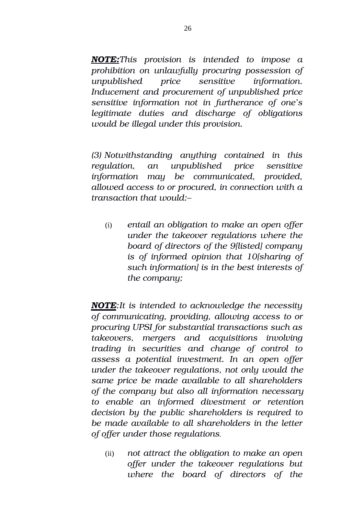*NOTE:This provision is intended to impose a prohibition on unlawfully procuring possession of unpublished price sensitive information. Inducement and procurement of unpublished price sensitive information not in furtherance of one's legitimate duties and discharge of obligations would be illegal under this provision.*

*(3) Notwithstanding anything contained in this regulation, an unpublished price sensitive information may be communicated, provided, allowed access to or procured, in connection with a transaction that would:–*

(i) *entail an obligation to make an open offer under the takeover regulations where the board of directors of the 9[listed] company is of informed opinion that 10[sharing of such information] is in the best interests of the company;*

*NOTE:It is intended to acknowledge the necessity of communicating, providing, allowing access to or procuring UPSI for substantial transactions such as takeovers, mergers and acquisitions involving trading in securities and change of control to assess a potential investment. In an open offer under the takeover regulations, not only would the same price be made available to all shareholders of the company but also all information necessary to enable an informed divestment or retention decision by the public shareholders is required to be made available to all shareholders in the letter of offer under those regulations.*

(ii) *not attract the obligation to make an open offer under the takeover regulations but where the board of directors of the*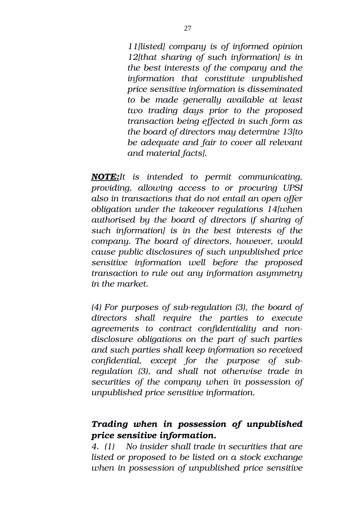*11[listed] company is of informed opinion 12[that sharing of such information] is in the best interests of the company and the information that constitute unpublished price sensitive information is disseminated to be made generally available at least two trading days prior to the proposed transaction being effected in such form as the board of directors may determine 13[to be adequate and fair to cover all relevant and material facts].*

 *NOTE:It is intended to permit communicating, providing, allowing access to or procuring UPSI also in transactions that do not entail an open offer obligation under the takeover regulations 14[when authorised by the board of directors if sharing of such information] is in the best interests of the company. The board of directors, however, would cause public disclosures of such unpublished price sensitive information well before the proposed transaction to rule out any information asymmetry in the market.*

*(4) For purposes of subregulation (3), the board of directors shall require the parties to execute agreements to contract confidentiality and nondisclosure obligations on the part of such parties and such parties shall keep information so received confidential, except for the purpose of subregulation (3), and shall not otherwise trade in securities of the company when in possession of unpublished price sensitive information.*

## *Trading when in possession of unpublished price sensitive information.*

*4. (1) No insider shall trade in securities that are listed or proposed to be listed on a stock exchange when in possession of unpublished price sensitive*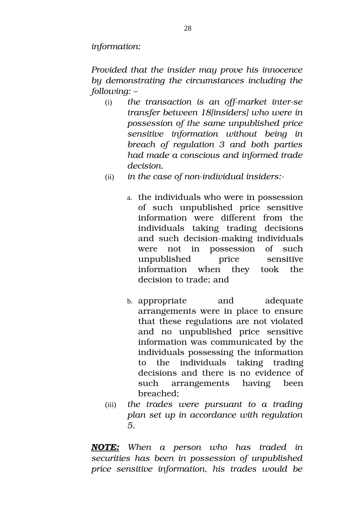*information:*

*Provided that the insider may prove his innocence by demonstrating the circumstances including the following: –*

- (i) *the transaction is an offmarket interse transfer between 18[insiders] who were in possession of the same unpublished price sensitive information without being in breach of regulation 3 and both parties had made a conscious and informed trade decision.*
- (ii) in the case of non-individual insiders:
	- a. the individuals who were in possession of such unpublished price sensitive information were different from the individuals taking trading decisions and such decision-making individuals were not in possession of such unpublished price sensitive information when they took the decision to trade; and
	- b. appropriate and adequate arrangements were in place to ensure that these regulations are not violated and no unpublished price sensitive information was communicated by the individuals possessing the information to the individuals taking trading decisions and there is no evidence of such arrangements having been breached;
- (iii) *the trades were pursuant to a trading plan set up in accordance with regulation 5.*

*NOTE: When a person who has traded in securities has been in possession of unpublished price sensitive information, his trades would be*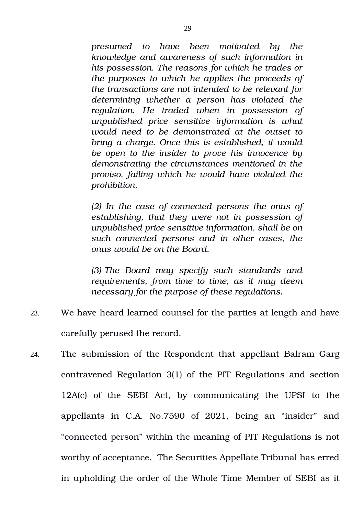*presumed to have been motivated by the knowledge and awareness of such information in his possession. The reasons for which he trades or the purposes to which he applies the proceeds of the transactions are not intended to be relevant for determining whether a person has violated the regulation. He traded when in possession of unpublished price sensitive information is what would need to be demonstrated at the outset to bring a charge. Once this is established, it would be open to the insider to prove his innocence by demonstrating the circumstances mentioned in the proviso, failing which he would have violated the prohibition.*

*(2) In the case of connected persons the onus of establishing, that they were not in possession of unpublished price sensitive information, shall be on such connected persons and in other cases, the onus would be on the Board.*

*(3) The Board may specify such standards and requirements, from time to time, as it may deem necessary for the purpose of these regulations.*

- 23. We have heard learned counsel for the parties at length and have carefully perused the record.
- 24. The submission of the Respondent that appellant Balram Garg contravened Regulation 3(1) of the PIT Regulations and section 12A(c) of the SEBI Act, by communicating the UPSI to the appellants in C.A. No.7590 of 2021, being an "insider" and "connected person" within the meaning of PIT Regulations is not worthy of acceptance. The Securities Appellate Tribunal has erred in upholding the order of the Whole Time Member of SEBI as it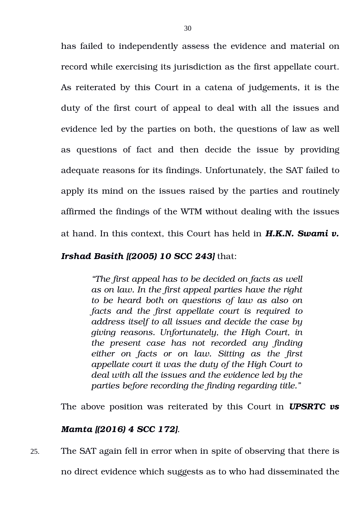has failed to independently assess the evidence and material on record while exercising its jurisdiction as the first appellate court. As reiterated by this Court in a catena of judgements, it is the duty of the first court of appeal to deal with all the issues and evidence led by the parties on both, the questions of law as well as questions of fact and then decide the issue by providing adequate reasons for its findings. Unfortunately, the SAT failed to apply its mind on the issues raised by the parties and routinely affirmed the findings of the WTM without dealing with the issues at hand. In this context, this Court has held in *H.K.N. Swami v.*

#### *Irshad Basith [(2005) 10 SCC 243]* that:

*"The first appeal has to be decided on facts as well as on law. In the first appeal parties have the right to be heard both on questions of law as also on facts and the first appellate court is required to address itself to all issues and decide the case by giving reasons. Unfortunately, the High Court, in the present case has not recorded any finding either on facts or on law. Sitting as the first appellate court it was the duty of the High Court to deal with all the issues and the evidence led by the parties before recording the finding regarding title."*

The above position was reiterated by this Court in *UPSRTC vs*

## *Mamta [(2016) 4 SCC 172].*

25. The SAT again fell in error when in spite of observing that there is no direct evidence which suggests as to who had disseminated the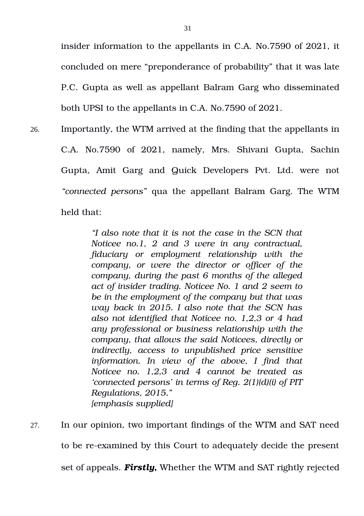insider information to the appellants in C.A. No.7590 of 2021, it concluded on mere "preponderance of probability" that it was late P.C. Gupta as well as appellant Balram Garg who disseminated both UPSI to the appellants in C.A. No.7590 of 2021.

26. Importantly, the WTM arrived at the finding that the appellants in C.A. No.7590 of 2021, namely, Mrs. Shivani Gupta, Sachin Gupta, Amit Garg and Quick Developers Pvt. Ltd. were not *"connected persons"* qua the appellant Balram Garg. The WTM held that:

> *"I also note that it is not the case in the SCN that Noticee no.1, 2 and 3 were in any contractual, fiduciary or employment relationship with the company, or were the director or officer of the company, during the past 6 months of the alleged act of insider trading. Noticee No. 1 and 2 seem to be in the employment of the company but that was way back in 2015. I also note that the SCN has also not identified that Noticee no. 1,2,3 or 4 had any professional or business relationship with the company, that allows the said Noticees, directly or indirectly, access to unpublished price sensitive information. In view of the above, I find that Noticee no. 1,2,3 and 4 cannot be treated as 'connected persons' in terms of Reg. 2(1)(d)(i) of PIT Regulations, 2015." [emphasis supplied]*

27. In our opinion, two important findings of the WTM and SAT need to be re-examined by this Court to adequately decide the present set of appeals. *Firstly***,** Whether the WTM and SAT rightly rejected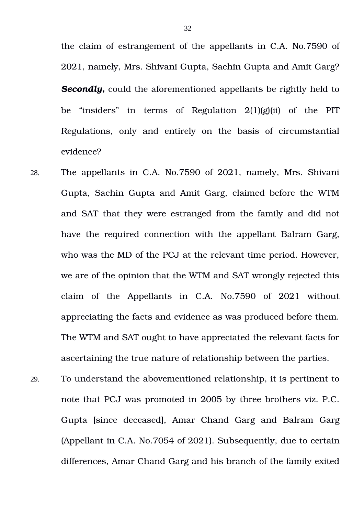the claim of estrangement of the appellants in C.A. No.7590 of 2021, namely, Mrs. Shivani Gupta, Sachin Gupta and Amit Garg? *Secondly,* could the aforementioned appellants be rightly held to be "insiders" in terms of Regulation 2(1)(g)(ii) of the PIT Regulations, only and entirely on the basis of circumstantial evidence?

- 28. The appellants in C.A. No.7590 of 2021, namely, Mrs. Shivani Gupta, Sachin Gupta and Amit Garg, claimed before the WTM and SAT that they were estranged from the family and did not have the required connection with the appellant Balram Garg, who was the MD of the PCJ at the relevant time period. However, we are of the opinion that the WTM and SAT wrongly rejected this claim of the Appellants in C.A. No.7590 of 2021 without appreciating the facts and evidence as was produced before them. The WTM and SAT ought to have appreciated the relevant facts for ascertaining the true nature of relationship between the parties.
- 29. To understand the abovementioned relationship, it is pertinent to note that PCJ was promoted in 2005 by three brothers viz. P.C. Gupta [since deceased], Amar Chand Garg and Balram Garg (Appellant in C.A. No.7054 of 2021). Subsequently, due to certain differences, Amar Chand Garg and his branch of the family exited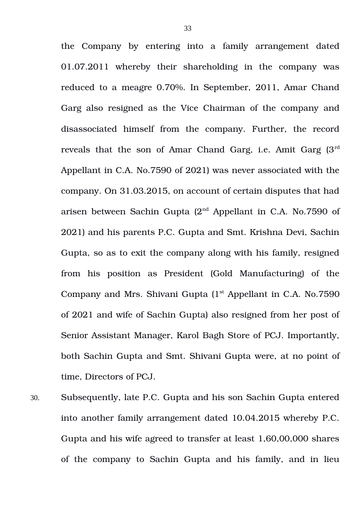the Company by entering into a family arrangement dated 01.07.2011 whereby their shareholding in the company was reduced to a meagre 0.70%. In September, 2011, Amar Chand Garg also resigned as the Vice Chairman of the company and disassociated himself from the company. Further, the record reveals that the son of Amar Chand Garg, i.e. Amit Garg (3rd Appellant in C.A. No.7590 of 2021) was never associated with the company. On 31.03.2015, on account of certain disputes that had arisen between Sachin Gupta  $(2<sup>nd</sup>$  Appellant in C.A. No.7590 of 2021) and his parents P.C. Gupta and Smt. Krishna Devi, Sachin Gupta, so as to exit the company along with his family, resigned from his position as President (Gold Manufacturing) of the Company and Mrs. Shivani Gupta  $(1<sup>st</sup>$  Appellant in C.A. No.7590 of 2021 and wife of Sachin Gupta) also resigned from her post of Senior Assistant Manager, Karol Bagh Store of PCJ. Importantly, both Sachin Gupta and Smt. Shivani Gupta were, at no point of time, Directors of PCJ.

30. Subsequently, late P.C. Gupta and his son Sachin Gupta entered into another family arrangement dated 10.04.2015 whereby P.C. Gupta and his wife agreed to transfer at least 1,60,00,000 shares of the company to Sachin Gupta and his family, and in lieu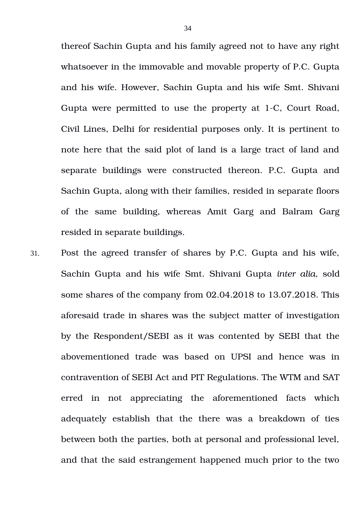thereof Sachin Gupta and his family agreed not to have any right whatsoever in the immovable and movable property of P.C. Gupta and his wife. However, Sachin Gupta and his wife Smt. Shivani Gupta were permitted to use the property at 1-C, Court Road, Civil Lines, Delhi for residential purposes only. It is pertinent to note here that the said plot of land is a large tract of land and separate buildings were constructed thereon. P.C. Gupta and Sachin Gupta, along with their families, resided in separate floors of the same building, whereas Amit Garg and Balram Garg resided in separate buildings.

31. Post the agreed transfer of shares by P.C. Gupta and his wife, Sachin Gupta and his wife Smt. Shivani Gupta *inter alia,* sold some shares of the company from 02.04.2018 to 13.07.2018. This aforesaid trade in shares was the subject matter of investigation by the Respondent/SEBI as it was contented by SEBI that the abovementioned trade was based on UPSI and hence was in contravention of SEBI Act and PIT Regulations. The WTM and SAT erred in not appreciating the aforementioned facts which adequately establish that the there was a breakdown of ties between both the parties, both at personal and professional level, and that the said estrangement happened much prior to the two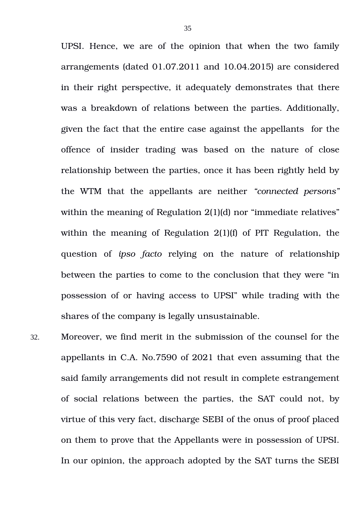UPSI. Hence, we are of the opinion that when the two family arrangements (dated 01.07.2011 and 10.04.2015) are considered in their right perspective, it adequately demonstrates that there was a breakdown of relations between the parties. Additionally, given the fact that the entire case against the appellants for the offence of insider trading was based on the nature of close relationship between the parties, once it has been rightly held by the WTM that the appellants are neither *"connected persons"* within the meaning of Regulation 2(1)(d) nor "immediate relatives" within the meaning of Regulation 2(1)(f) of PIT Regulation, the question of *ipso facto* relying on the nature of relationship between the parties to come to the conclusion that they were "in possession of or having access to UPSI" while trading with the shares of the company is legally unsustainable.

32. Moreover, we find merit in the submission of the counsel for the appellants in C.A. No.7590 of 2021 that even assuming that the said family arrangements did not result in complete estrangement of social relations between the parties, the SAT could not, by virtue of this very fact, discharge SEBI of the onus of proof placed on them to prove that the Appellants were in possession of UPSI. In our opinion, the approach adopted by the SAT turns the SEBI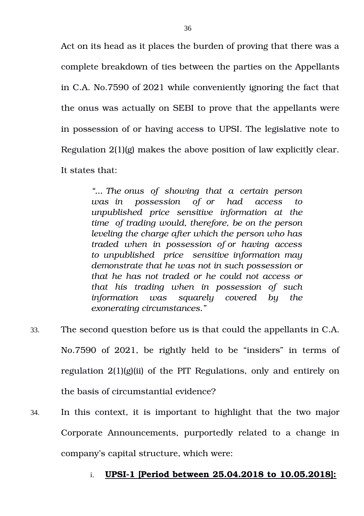Act on its head as it places the burden of proving that there was a complete breakdown of ties between the parties on the Appellants in C.A. No.7590 of 2021 while conveniently ignoring the fact that the onus was actually on SEBI to prove that the appellants were in possession of or having access to UPSI. The legislative note to Regulation 2(1)(g) makes the above position of law explicitly clear. It states that:

> *"... The onus of showing that a certain person was in possession of or had access to unpublished price sensitive information at the time of trading would, therefore, be on the person leveling the charge after which the person who has traded when in possession of or having access to unpublished price sensitive information may demonstrate that he was not in such possession or that he has not traded or he could not access or that his trading when in possession of such information was squarely covered by the exonerating circumstances."*

- 33. The second question before us is that could the appellants in C.A. No.7590 of 2021, be rightly held to be "insiders" in terms of regulation 2(1)(g)(ii) of the PIT Regulations, only and entirely on the basis of circumstantial evidence?
- 34. In this context, it is important to highlight that the two major Corporate Announcements, purportedly related to a change in company's capital structure, which were:

## i. **UPSI-1 [Period between 25.04.2018 to 10.05.2018]:**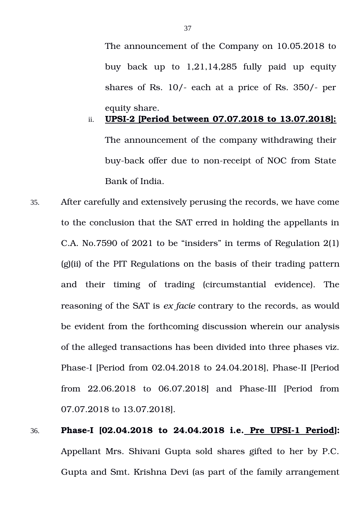The announcement of the Company on 10.05.2018 to buy back up to  $1,21,14,285$  fully paid up equity shares of Rs.  $10/-$  each at a price of Rs.  $350/-$  per equity share.

# ii. **UPSI2 [Period between 07.07.2018 to 13.07.2018]:** The announcement of the company withdrawing their buy-back offer due to non-receipt of NOC from State Bank of India.

35. After carefully and extensively perusing the records, we have come to the conclusion that the SAT erred in holding the appellants in C.A. No.7590 of 2021 to be "insiders" in terms of Regulation 2(1) (g)(ii) of the PIT Regulations on the basis of their trading pattern and their timing of trading (circumstantial evidence). The reasoning of the SAT is *ex facie* contrary to the records, as would be evident from the forthcoming discussion wherein our analysis of the alleged transactions has been divided into three phases viz. Phase-I [Period from 02.04.2018 to 24.04.2018], Phase-II [Period from 22.06.2018 to 06.07.2018] and Phase-III [Period from 07.07.2018 to 13.07.2018].

## 36. **Phase-I [02.04.2018 to 24.04.2018 i.e. Pre UPSI-1 Period]:** Appellant Mrs. Shivani Gupta sold shares gifted to her by P.C. Gupta and Smt. Krishna Devi (as part of the family arrangement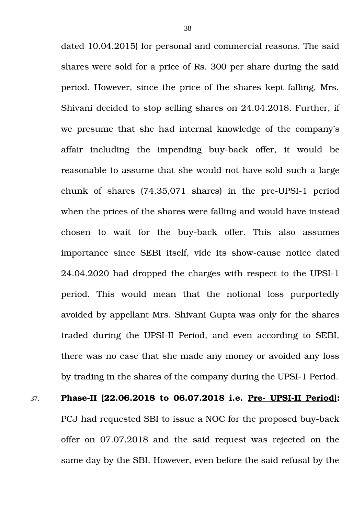dated 10.04.2015) for personal and commercial reasons. The said shares were sold for a price of Rs. 300 per share during the said period. However, since the price of the shares kept falling, Mrs. Shivani decided to stop selling shares on 24.04.2018. Further, if we presume that she had internal knowledge of the company's affair including the impending buy-back offer, it would be reasonable to assume that she would not have sold such a large chunk of shares  $(74,35,071)$  shares) in the pre-UPSI-1 period when the prices of the shares were falling and would have instead chosen to wait for the buy-back offer. This also assumes importance since SEBI itself, vide its showcause notice dated  $24.04.2020$  had dropped the charges with respect to the UPSI-1 period. This would mean that the notional loss purportedly avoided by appellant Mrs. Shivani Gupta was only for the shares traded during the UPSI-II Period, and even according to SEBI, there was no case that she made any money or avoided any loss by trading in the shares of the company during the UPSI-1 Period.

37. **Phase-II [22.06.2018 to 06.07.2018 i.e. Pre- UPSI-II Period]:** 

PCJ had requested SBI to issue a NOC for the proposed buy-back offer on 07.07.2018 and the said request was rejected on the same day by the SBI. However, even before the said refusal by the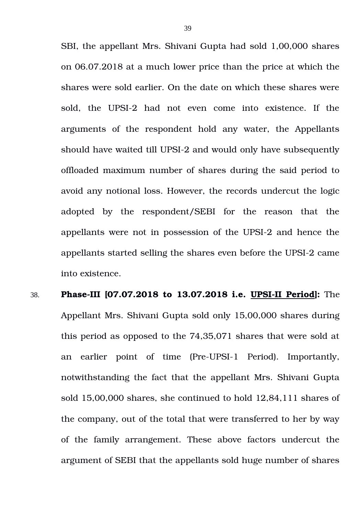SBI, the appellant Mrs. Shivani Gupta had sold 1,00,000 shares on 06.07.2018 at a much lower price than the price at which the shares were sold earlier. On the date on which these shares were sold, the UPSI-2 had not even come into existence. If the arguments of the respondent hold any water, the Appellants should have waited till UPSI-2 and would only have subsequently offloaded maximum number of shares during the said period to avoid any notional loss. However, the records undercut the logic adopted by the respondent/SEBI for the reason that the appellants were not in possession of the UPSI2 and hence the appellants started selling the shares even before the UPSI-2 came into existence.

38. **Phase-III [07.07.2018 to 13.07.2018 i.e. UPSI-II Period]:** The Appellant Mrs. Shivani Gupta sold only 15,00,000 shares during this period as opposed to the 74,35,071 shares that were sold at an earlier point of time (Pre-UPSI-1 Period). Importantly, notwithstanding the fact that the appellant Mrs. Shivani Gupta sold 15,00,000 shares, she continued to hold 12,84,111 shares of the company, out of the total that were transferred to her by way of the family arrangement. These above factors undercut the argument of SEBI that the appellants sold huge number of shares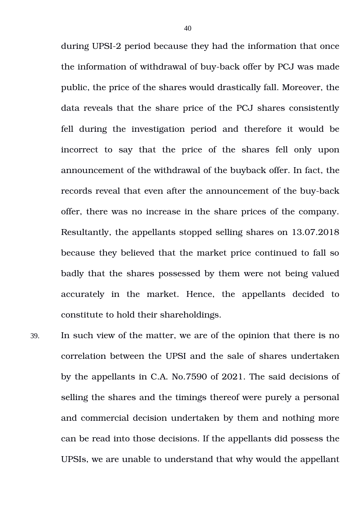during UPSI-2 period because they had the information that once the information of withdrawal of buy-back offer by PCJ was made public, the price of the shares would drastically fall. Moreover, the data reveals that the share price of the PCJ shares consistently fell during the investigation period and therefore it would be incorrect to say that the price of the shares fell only upon announcement of the withdrawal of the buyback offer. In fact, the records reveal that even after the announcement of the buy-back offer, there was no increase in the share prices of the company. Resultantly, the appellants stopped selling shares on 13.07.2018 because they believed that the market price continued to fall so badly that the shares possessed by them were not being valued accurately in the market. Hence, the appellants decided to constitute to hold their shareholdings.

39. In such view of the matter, we are of the opinion that there is no correlation between the UPSI and the sale of shares undertaken by the appellants in C.A. No.7590 of 2021. The said decisions of selling the shares and the timings thereof were purely a personal and commercial decision undertaken by them and nothing more can be read into those decisions. If the appellants did possess the UPSIs, we are unable to understand that why would the appellant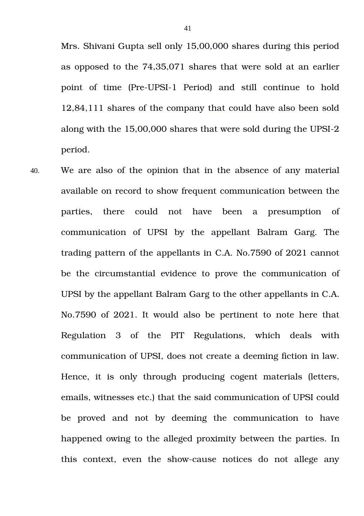Mrs. Shivani Gupta sell only 15,00,000 shares during this period as opposed to the 74,35,071 shares that were sold at an earlier point of time (Pre-UPSI-1 Period) and still continue to hold 12,84,111 shares of the company that could have also been sold along with the 15,00,000 shares that were sold during the UPSI-2 period.

40. We are also of the opinion that in the absence of any material available on record to show frequent communication between the parties, there could not have been a presumption of communication of UPSI by the appellant Balram Garg. The trading pattern of the appellants in C.A. No.7590 of 2021 cannot be the circumstantial evidence to prove the communication of UPSI by the appellant Balram Garg to the other appellants in C.A. No.7590 of 2021. It would also be pertinent to note here that Regulation 3 of the PIT Regulations, which deals with communication of UPSI, does not create a deeming fiction in law. Hence, it is only through producing cogent materials (letters, emails, witnesses etc.) that the said communication of UPSI could be proved and not by deeming the communication to have happened owing to the alleged proximity between the parties. In this context, even the show-cause notices do not allege any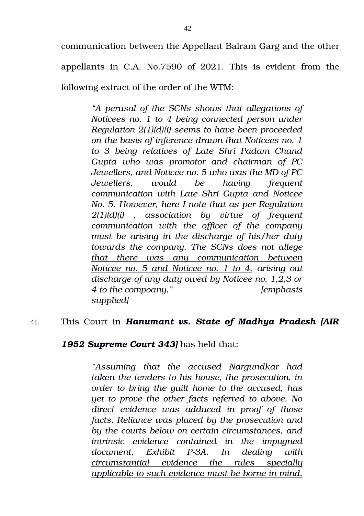communication between the Appellant Balram Garg and the other

appellants in C.A. No.7590 of 2021. This is evident from the

following extract of the order of the WTM:

*"A perusal of the SCNs shows that allegations of Noticees no. 1 to 4 being connected person under Regulation 2(1)(d)(i) seems to have been proceeded on the basis of inference drawn that Noticees no. 1 to 3 being relatives of Late Shri Padam Chand Gupta who was promotor and chairman of PC Jewellers, and Noticee no. 5 who was the MD of PC Jewellers, would be having frequent communication with Late Shri Gupta and Noticee No. 5. However, here I note that as per Regulation 2(1)(d)(i) , association by virtue of frequent communication with the officer of the company must be arising in the discharge of his/her duty towards the company. The SCNs does not allege that there was any communication between Noticee no. 5 and Noticee no. 1 to 4, arising out discharge of any duty owed by Noticee no. 1,2,3 or 4 to the compoany." [emphasis supplied]*

## 41. This Court in *Hanumant vs. State of Madhya Pradesh [AIR*

## *1952 Supreme Court 343]* has held that:

*"Assuming that the accused Nargundkar had taken the tenders to his house, the prosecution, in order to bring the guilt home to the accused, has yet to prove the other facts referred to above. No direct evidence was adduced in proof of those facts. Reliance was placed by the prosecution and by the courts below on certain circumstances, and intrinsic evidence contained in the impugned document, Exhibit P3A. In dealing with circumstantial evidence the rules specially applicable to such evidence must be borne in mind.*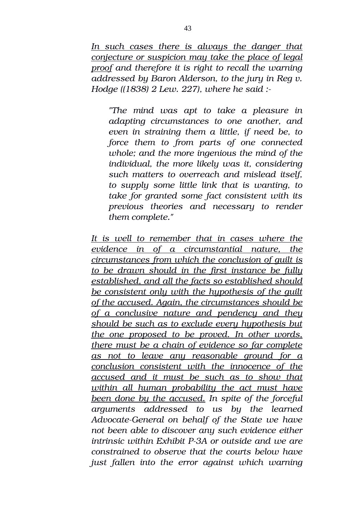*In such cases there is always the danger that conjecture or suspicion may take the place of legal proof and therefore it is right to recall the warning addressed by Baron Alderson, to the jury in Reg v. Hodge ((1838) 2 Lew. 227), where he said :*

*"The mind was apt to take a pleasure in adapting circumstances to one another, and even in straining them a little, if need be, to force them to from parts of one connected whole; and the more ingenious the mind of the individual, the more likely was it, considering such matters to overreach and mislead itself, to supply some little link that is wanting, to take for granted some fact consistent with its previous theories and necessary to render them complete."*

*It is well to remember that in cases where the evidence in of a circumstantial nature, the circumstances from which the conclusion of guilt is to be drawn should in the first instance be fully established, and all the facts so established should be consistent only with the hypothesis of the guilt of the accused. Again, the circumstances should be of a conclusive nature and pendency and they should be such as to exclude every hypothesis but the one proposed to be proved. In other words, there must be a chain of evidence so far complete as not to leave any reasonable ground for a conclusion consistent with the innocence of the accused and it must be such as to show that within all human probability the act must have been done by the accused. In spite of the forceful arguments addressed to us by the learned* Advocate-General on behalf of the State we have *not been able to discover any such evidence either intrinsic within Exhibit P3A or outside and we are constrained to observe that the courts below have just fallen into the error against which warning*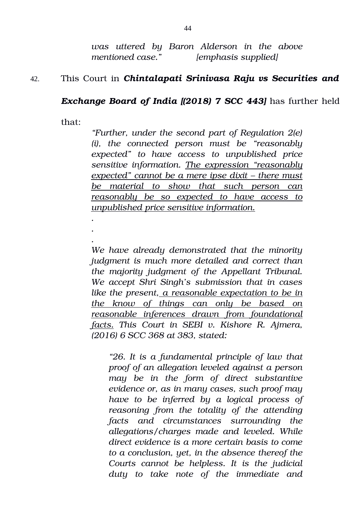*was uttered by Baron Alderson in the above mentioned case." [emphasis supplied]*

## 42. This Court in *Chintalapati Srinivasa Raju vs Securities and*

## *Exchange Board of India [(2018) 7 SCC 443]* has further held

that:

*. . .*

*"Further, under the second part of Regulation 2(e) (i), the connected person must be "reasonably expected" to have access to unpublished price sensitive information. The expression "reasonably expected" cannot be a mere ipse dixit – there must be material to show that such person can reasonably be so expected to have access to unpublished price sensitive information.*

*We have already demonstrated that the minority judgment is much more detailed and correct than the majority judgment of the Appellant Tribunal. We accept Shri Singh's submission that in cases like the present, a reasonable expectation to be in the know of things can only be based on reasonable inferences drawn from foundational facts. This Court in SEBI v. Kishore R. Ajmera, (2016) 6 SCC 368 at 383, stated:*

*"26. It is a fundamental principle of law that proof of an allegation leveled against a person may be in the form of direct substantive evidence or, as in many cases, such proof may have to be inferred by a logical process of reasoning from the totality of the attending facts and circumstances surrounding the allegations/charges made and leveled. While direct evidence is a more certain basis to come to a conclusion, yet, in the absence thereof the Courts cannot be helpless. It is the judicial duty to take note of the immediate and*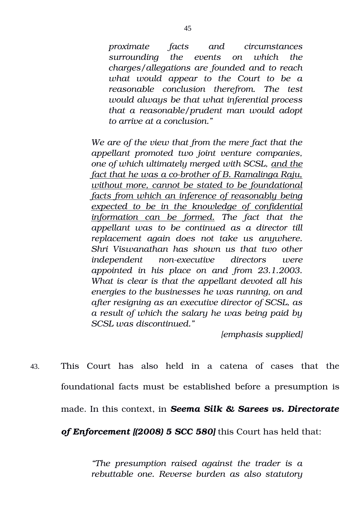*proximate facts and circumstances surrounding the events on which the charges/allegations are founded and to reach what would appear to the Court to be a reasonable conclusion therefrom. The test would always be that what inferential process that a reasonable/prudent man would adopt to arrive at a conclusion."*

*We are of the view that from the mere fact that the appellant promoted two joint venture companies, one of which ultimately merged with SCSL, and the fact that he was a cobrother of B. Ramalinga Raju, without more, cannot be stated to be foundational facts from which an inference of reasonably being expected to be in the knowledge of confidential information can be formed. The fact that the appellant was to be continued as a director till replacement again does not take us anywhere. Shri Viswanathan has shown us that two other independent nonexecutive directors were appointed in his place on and from 23.1.2003. What is clear is that the appellant devoted all his energies to the businesses he was running, on and after resigning as an executive director of SCSL, as a result of which the salary he was being paid by SCSL was discontinued."*

*[emphasis supplied]*

43. This Court has also held in a catena of cases that the foundational facts must be established before a presumption is made. In this context, in *Seema Silk & Sarees vs. Directorate*

*of Enforcement [(2008) 5 SCC 580]* this Court has held that:

*"The presumption raised against the trader is a rebuttable one. Reverse burden as also statutory*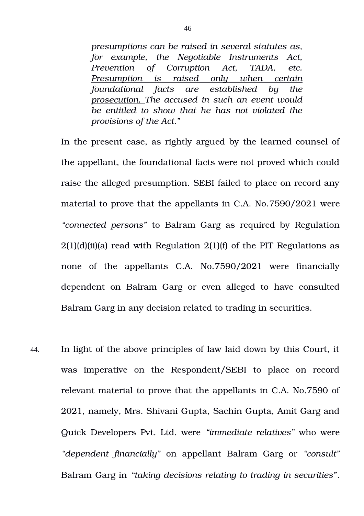*presumptions can be raised in several statutes as, for example, the Negotiable Instruments Act, Prevention of Corruption Act, TADA, etc. Presumption is raised only when certain foundational facts are established by the prosecution. The accused in such an event would be entitled to show that he has not violated the provisions of the Act."* 

In the present case, as rightly argued by the learned counsel of the appellant, the foundational facts were not proved which could raise the alleged presumption. SEBI failed to place on record any material to prove that the appellants in C.A. No.7590/2021 were *"connected persons"* to Balram Garg as required by Regulation  $2(1)(d)(ii)(a)$  read with Regulation  $2(1)(f)$  of the PIT Regulations as none of the appellants C.A. No.7590/2021 were financially dependent on Balram Garg or even alleged to have consulted Balram Garg in any decision related to trading in securities.

44. In light of the above principles of law laid down by this Court, it was imperative on the Respondent/SEBI to place on record relevant material to prove that the appellants in C.A. No.7590 of 2021, namely, Mrs. Shivani Gupta, Sachin Gupta, Amit Garg and Quick Developers Pvt. Ltd. were *"immediate relatives"* who were *"dependent financially"* on appellant Balram Garg or *"consult"* Balram Garg in *"taking decisions relating to trading in securities"*.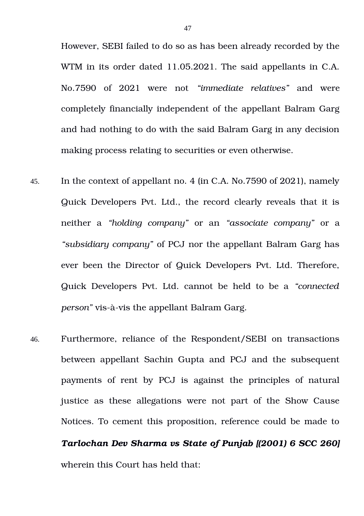However, SEBI failed to do so as has been already recorded by the WTM in its order dated 11.05.2021. The said appellants in C.A. No.7590 of 2021 were not *"immediate relatives"* and were completely financially independent of the appellant Balram Garg and had nothing to do with the said Balram Garg in any decision making process relating to securities or even otherwise.

- 45. In the context of appellant no. 4 (in C.A. No.7590 of 2021), namely Quick Developers Pvt. Ltd., the record clearly reveals that it is neither a *"holding company"* or an *"associate company"* or a *"subsidiary company"* of PCJ nor the appellant Balram Garg has ever been the Director of Quick Developers Pvt. Ltd. Therefore, Quick Developers Pvt. Ltd. cannot be held to be a *"connected person"* vis-à-vis the appellant Balram Garg.
- 46. Furthermore, reliance of the Respondent/SEBI on transactions between appellant Sachin Gupta and PCJ and the subsequent payments of rent by PCJ is against the principles of natural justice as these allegations were not part of the Show Cause Notices. To cement this proposition, reference could be made to

*Tarlochan Dev Sharma vs State of Punjab [(2001) 6 SCC 260]* wherein this Court has held that: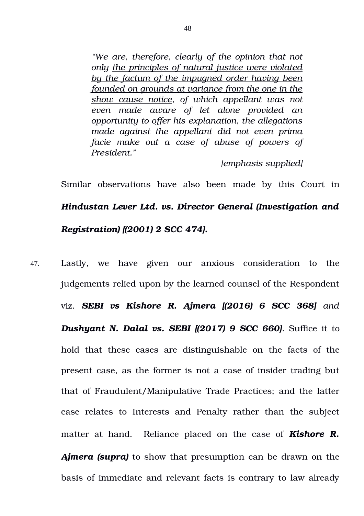*"We are, therefore, clearly of the opinion that not only the principles of natural justice were violated by the factum of the impugned order having been founded on grounds at variance from the one in the show cause notice, of which appellant was not even made aware of let alone provided an opportunity to offer his explanation, the allegations made against the appellant did not even prima facie make out a case of abuse of powers of President."*

*[emphasis supplied]*

Similar observations have also been made by this Court in *Hindustan Lever Ltd. vs. Director General (Investigation and Registration) [(2001) 2 SCC 474].*

47. Lastly, we have given our anxious consideration to the judgements relied upon by the learned counsel of the Respondent viz. *SEBI vs Kishore R. Ajmera [(2016) 6 SCC 368] and Dushyant N. Dalal vs. SEBI [(2017) 9 SCC 660].* **Suffice it to** hold that these cases are distinguishable on the facts of the present case, as the former is not a case of insider trading but that of Fraudulent/Manipulative Trade Practices; and the latter case relates to Interests and Penalty rather than the subject matter at hand. Reliance placed on the case of **Kishore R.** *Ajmera (supra)* to show that presumption can be drawn on the basis of immediate and relevant facts is contrary to law already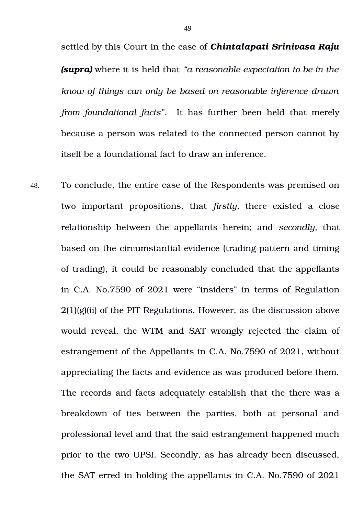settled by this Court in the case of *Chintalapati Srinivasa Raju (supra)* where it is held that *"a reasonable expectation to be in the know of things can only be based on reasonable inference drawn from foundational facts".* It has further been held that merely because a person was related to the connected person cannot by itself be a foundational fact to draw an inference.

48. To conclude, the entire case of the Respondents was premised on two important propositions, that *firstly*, there existed a close relationship between the appellants herein; and *secondly*, that based on the circumstantial evidence (trading pattern and timing of trading), it could be reasonably concluded that the appellants in C.A. No.7590 of 2021 were "insiders" in terms of Regulation  $2(1)(g)(ii)$  of the PIT Regulations. However, as the discussion above would reveal, the WTM and SAT wrongly rejected the claim of estrangement of the Appellants in C.A. No.7590 of 2021, without appreciating the facts and evidence as was produced before them. The records and facts adequately establish that the there was a breakdown of ties between the parties, both at personal and professional level and that the said estrangement happened much prior to the two UPSI. Secondly, as has already been discussed, the SAT erred in holding the appellants in C.A. No.7590 of 2021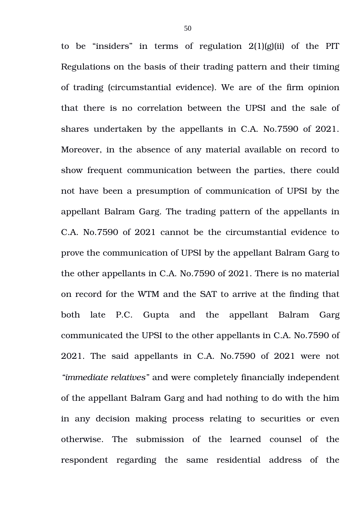to be "insiders" in terms of regulation  $2(1)(g)(ii)$  of the PIT Regulations on the basis of their trading pattern and their timing of trading (circumstantial evidence). We are of the firm opinion that there is no correlation between the UPSI and the sale of shares undertaken by the appellants in C.A. No.7590 of 2021. Moreover, in the absence of any material available on record to show frequent communication between the parties, there could not have been a presumption of communication of UPSI by the appellant Balram Garg. The trading pattern of the appellants in C.A. No.7590 of 2021 cannot be the circumstantial evidence to prove the communication of UPSI by the appellant Balram Garg to the other appellants in C.A. No.7590 of 2021. There is no material on record for the WTM and the SAT to arrive at the finding that both late P.C. Gupta and the appellant Balram Garg communicated the UPSI to the other appellants in C.A. No.7590 of 2021. The said appellants in C.A. No.7590 of 2021 were not *"immediate relatives"* and were completely financially independent of the appellant Balram Garg and had nothing to do with the him in any decision making process relating to securities or even otherwise. The submission of the learned counsel of the respondent regarding the same residential address of the